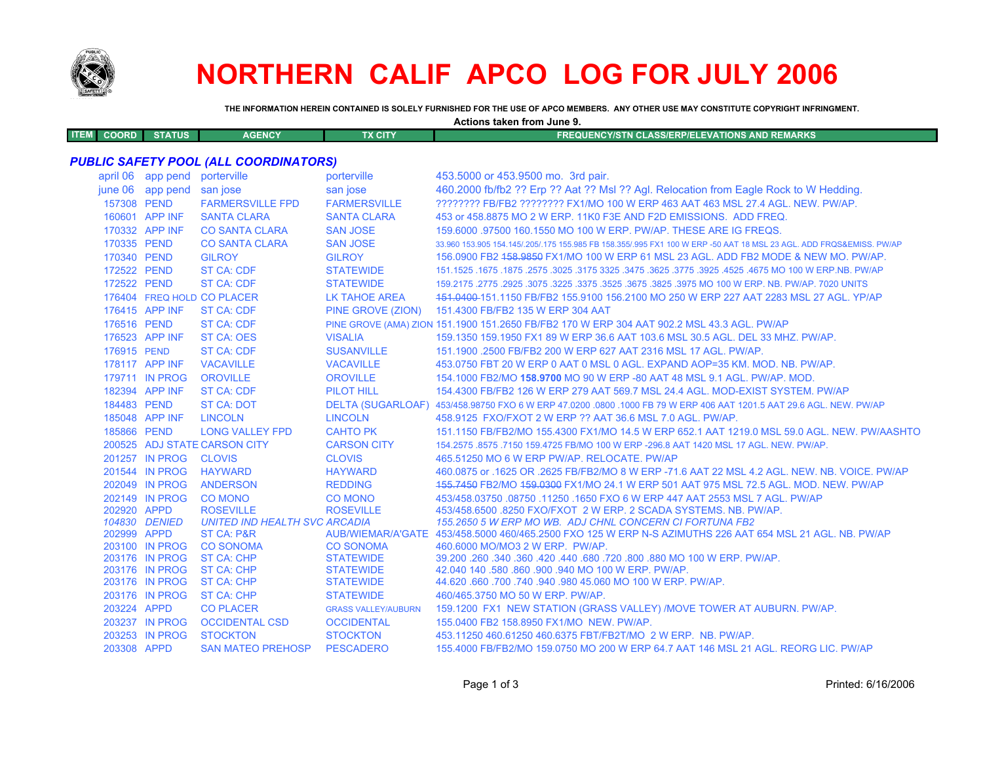

# **NORTHERN CALIF APCO LOG FOR JULY 2006**

**Actions taken from June 9.**

**THE INFORMATION HEREIN CONTAINED IS SOLELY FURNISHED FOR THE USE OF APCO MEMBERS. ANY OTHER USE MAY CONSTITUTE COPYRIGHT INFRINGMENT.**

| <b>ITEM</b><br><b>COORD</b>                  | <b>STATUS</b>                 | <b>AGENCY</b>                             | <b>TX CITY</b>             | <b>FREQUENCY/STN CLASS/ERP/ELEVATIONS AND REMARKS</b>                                                               |  |
|----------------------------------------------|-------------------------------|-------------------------------------------|----------------------------|---------------------------------------------------------------------------------------------------------------------|--|
| <b>PUBLIC SAFETY POOL (ALL COORDINATORS)</b> |                               |                                           |                            |                                                                                                                     |  |
|                                              | april 06 app pend porterville |                                           | porterville                | 453.5000 or 453.9500 mo. 3rd pair.                                                                                  |  |
|                                              | june 06 app pend san jose     |                                           | san jose                   | 460.2000 fb/fb2 ?? Erp ?? Aat ?? MsI ?? Agl. Relocation from Eagle Rock to W Hedding.                               |  |
| 157308 PEND                                  |                               | <b>FARMERSVILLE FPD</b>                   | <b>FARMERSVILLE</b>        | ???????? FB/FB2 ??????? FX1/MO 100 W ERP 463 AAT 463 MSL 27.4 AGL. NEW. PW/AP.                                      |  |
|                                              | 160601 APP INF                | <b>SANTA CLARA</b>                        | <b>SANTA CLARA</b>         | 453 or 458,8875 MO 2 W ERP, 11K0 F3E AND F2D EMISSIONS. ADD FREQ.                                                   |  |
|                                              | 170332 APP INF                | <b>CO SANTA CLARA</b>                     | <b>SAN JOSE</b>            | 159,6000 .97500 160,1550 MO 100 W ERP. PW/AP. THESE ARE IG FREQS.                                                   |  |
| 170335 PEND                                  |                               | <b>CO SANTA CLARA</b>                     | <b>SAN JOSE</b>            | 33.960 153.905 154.145/.205/.175 155.985 FB 158.355/.995 FX1 100 W ERP -50 AAT 18 MSL 23 AGL. ADD FRQS&EMISS. PW/AP |  |
| 170340 PEND                                  |                               | <b>GILROY</b>                             | <b>GILROY</b>              | 156,0900 FB2 158,9850 FX1/MO 100 W ERP 61 MSL 23 AGL, ADD FB2 MODE & NEW MO, PW/AP,                                 |  |
| 172522 PEND                                  |                               | <b>ST CA: CDF</b>                         | <b>STATEWIDE</b>           | 1675.1675.1675 NO 100 W ERP.NB. PW/AP 325. 3475 325. 3475 325. 3475 3275 3275. 3025. 1675 1675. 1675 1675.1525      |  |
| 172522 PEND                                  |                               | <b>ST CA: CDF</b>                         | <b>STATEWIDE</b>           | 159.2175.2775 .2925 .3075 .3225 .3375 .3525 .3675 .3825 .3975 MO 100 W ERP. NB. PW/AP. 7020 UNITS                   |  |
|                                              |                               | 176404 FREQ HOLD CO PLACER                | <b>LK TAHOE AREA</b>       | 151.0400-151.1150 FB/FB2 155.9100 156.2100 MO 250 W ERP 227 AAT 2283 MSL 27 AGL. YP/AP                              |  |
|                                              | 176415 APP INF                | <b>ST CA: CDF</b>                         | PINE GROVE (ZION)          | 151.4300 FB/FB2 135 W ERP 304 AAT                                                                                   |  |
| 176516 PEND                                  |                               | <b>ST CA: CDF</b>                         |                            | PINE GROVE (AMA) ZION 151.1900 151.2650 FB/FB2 170 W ERP 304 AAT 902.2 MSL 43.3 AGL. PW/AP                          |  |
|                                              | 176523 APP INF                | <b>ST CA: OES</b>                         | <b>VISALIA</b>             | 159.1350 159.1950 FX1 89 W ERP 36.6 AAT 103.6 MSL 30.5 AGL. DEL 33 MHZ. PW/AP.                                      |  |
| 176915 PEND                                  |                               | <b>ST CA: CDF</b>                         | <b>SUSANVILLE</b>          | 151.1900 .2500 FB/FB2 200 W ERP 627 AAT 2316 MSL 17 AGL, PW/AP.                                                     |  |
|                                              | 178117 APP INF                | <b>VACAVILLE</b>                          | <b>VACAVILLE</b>           | 453.0750 FBT 20 W ERP 0 AAT 0 MSL 0 AGL. EXPAND AOP=35 KM, MOD, NB, PW/AP,                                          |  |
|                                              | 179711 IN PROG                | <b>OROVILLE</b>                           | <b>OROVILLE</b>            | 154.1000 FB2/MO 158.9700 MO 90 W ERP -80 AAT 48 MSL 9.1 AGL. PW/AP. MOD.                                            |  |
|                                              | 182394 APP INF                | <b>ST CA: CDF</b>                         | <b>PILOT HILL</b>          | 154.4300 FB/FB2 126 W ERP 279 AAT 569.7 MSL 24.4 AGL. MOD-EXIST SYSTEM. PW/AP                                       |  |
| 184483 PEND                                  |                               | <b>ST CA: DOT</b>                         |                            | DELTA (SUGARLOAF) 453/458.98750 FXO 6 W ERP 47.0200 .0800 .1000 FB 79 W ERP 406 AAT 1201.5 AAT 29.6 AGL. NEW. PW/AP |  |
|                                              | 185048 APP INF                | <b>LINCOLN</b>                            | <b>LINCOLN</b>             | 458.9125 FXO/FXOT 2 W ERP ?? AAT 36.6 MSL 7.0 AGL. PW/AP.                                                           |  |
| 185866 PEND                                  |                               | <b>LONG VALLEY FPD</b>                    | <b>CAHTO PK</b>            | 151.1150 FB/FB2/MO 155.4300 FX1/MO 14.5 W ERP 652.1 AAT 1219.0 MSL 59.0 AGL, NEW, PW/AASHTO                         |  |
|                                              |                               | 200525 ADJ STATE CARSON CITY              | <b>CARSON CITY</b>         | 154,2575,8575,7150 159,4725 FB/MO 100 W ERP -296.8 AAT 1420 MSL 17 AGL, NEW, PW/AP,                                 |  |
|                                              | 201257 IN PROG                | <b>CLOVIS</b>                             | <b>CLOVIS</b>              | 465.51250 MO 6 W ERP PW/AP, RELOCATE, PW/AP                                                                         |  |
|                                              | 201544 IN PROG                | <b>HAYWARD</b>                            | <b>HAYWARD</b>             | 460.0875 or .1625 OR .2625 FB/FB2/MO 8 W ERP -71.6 AAT 22 MSL 4.2 AGL. NEW. NB. VOICE. PW/AP                        |  |
|                                              | 202049 IN PROG                | <b>ANDERSON</b>                           | <b>REDDING</b>             | 155,7450 FB2/MO 159,0300 FX1/MO 24.1 W ERP 501 AAT 975 MSL 72.5 AGL, MOD, NEW, PW/AP                                |  |
|                                              | 202149 IN PROG                | <b>CO MONO</b>                            | <b>CO MONO</b>             | 453/458.03750.08750.11250.1650 FXO 6 W ERP 447 AAT 2553 MSL 7 AGL. PW/AP                                            |  |
| 202920 APPD                                  |                               | <b>ROSEVILLE</b>                          | <b>ROSEVILLE</b>           | 453/458.6500 .8250 FXO/FXOT 2 W ERP. 2 SCADA SYSTEMS. NB. PW/AP.                                                    |  |
|                                              | 104830 DENIED                 | <b>UNITED IND HEALTH SVC ARCADIA</b>      |                            | 155.2650 5 W ERP MO WB. ADJ CHNL CONCERN CI FORTUNA FB2                                                             |  |
| 202999 APPD                                  | 203100 IN PROG                | <b>ST CA: P&amp;R</b><br><b>CO SONOMA</b> | <b>CO SONOMA</b>           | AUB/WIEMAR/A'GATE 453/458.5000 460/465.2500 FXO 125 W ERP N-S AZIMUTHS 226 AAT 654 MSL 21 AGL, NB, PW/AP            |  |
|                                              | 203176 IN PROG                | <b>ST CA: CHP</b>                         | <b>STATEWIDE</b>           | 460,6000 MO/MO3 2 W ERP. PW/AP.<br>39.200 .260 .340 .360 .420 .440 .680 .720 .800 .880 MO 100 W ERP. PW/AP.         |  |
|                                              | 203176 IN PROG                | <b>ST CA: CHP</b>                         | <b>STATEWIDE</b>           | 42.040 140 .580 .860 .900 .940 MO 100 W ERP. PW/AP.                                                                 |  |
|                                              | 203176 IN PROG                | <b>ST CA: CHP</b>                         | <b>STATEWIDE</b>           | 44.620 .660 .700 .740 .940 .980 45.060 MO 100 W ERP. PW/AP.                                                         |  |
|                                              | 203176 IN PROG                | <b>ST CA: CHP</b>                         | <b>STATEWIDE</b>           | 460/465.3750 MO 50 W ERP. PW/AP.                                                                                    |  |
| 203224 APPD                                  |                               | <b>CO PLACER</b>                          | <b>GRASS VALLEY/AUBURN</b> | 159.1200 FX1 NEW STATION (GRASS VALLEY) /MOVE TOWER AT AUBURN. PW/AP.                                               |  |
|                                              | 203237 IN PROG                | <b>OCCIDENTAL CSD</b>                     | <b>OCCIDENTAL</b>          | 155.0400 FB2 158.8950 FX1/MO NEW. PW/AP.                                                                            |  |
|                                              | 203253 IN PROG                | <b>STOCKTON</b>                           | <b>STOCKTON</b>            | 453.11250 460.61250 460.6375 FBT/FB2T/MO 2 W ERP. NB. PW/AP.                                                        |  |
| 203308 APPD                                  |                               | <b>SAN MATEO PREHOSP</b>                  | <b>PESCADERO</b>           | 155,4000 FB/FB2/MO 159,0750 MO 200 W ERP 64.7 AAT 146 MSL 21 AGL, REORG LIC, PW/AP                                  |  |
|                                              |                               |                                           |                            |                                                                                                                     |  |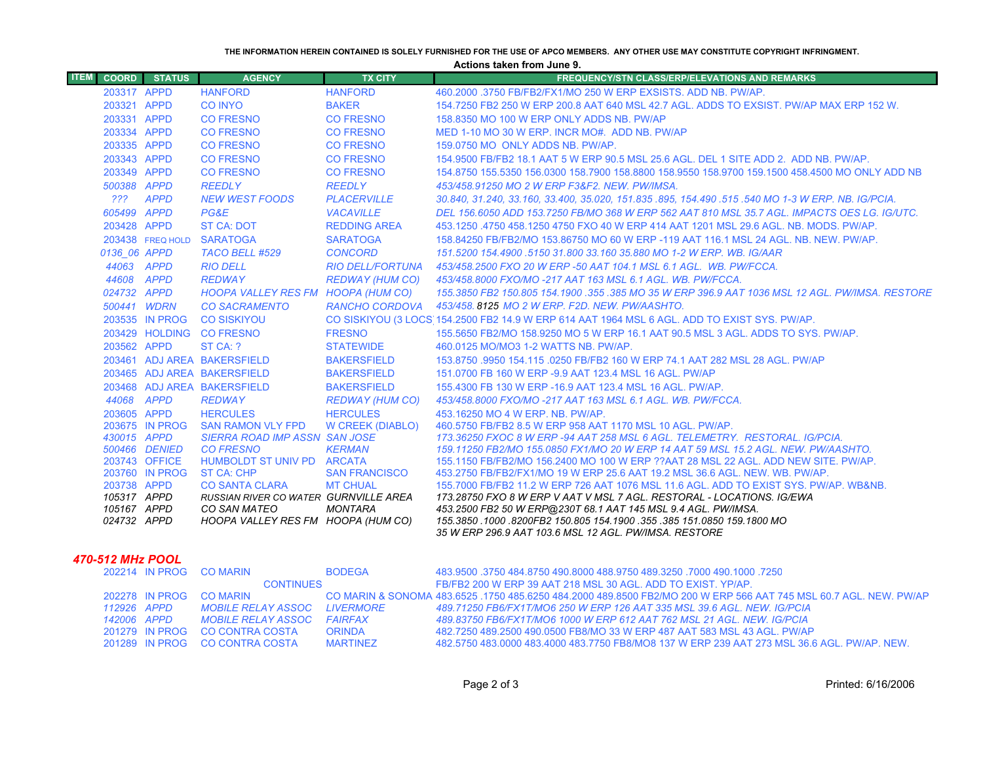#### **THE INFORMATION HEREIN CONTAINED IS SOLELY FURNISHED FOR THE USE OF APCO MEMBERS. ANY OTHER USE MAY CONSTITUTE COPYRIGHT INFRINGMENT.**

**Actions taken from June 9.**

| <b>ITEM</b><br><b>COORD</b> | <b>STATUS</b>    | <b>AGENCY</b>                                                    | <b>TX CITY</b>          | <b>FREQUENCY/STN CLASS/ERP/ELEVATIONS AND REMARKS</b>                                                                                    |
|-----------------------------|------------------|------------------------------------------------------------------|-------------------------|------------------------------------------------------------------------------------------------------------------------------------------|
| 203317 APPD                 |                  | <b>HANFORD</b>                                                   | <b>HANFORD</b>          | 460,2000,3750 FB/FB2/FX1/MO 250 W ERP EXSISTS, ADD NB, PW/AP,                                                                            |
| 203321 APPD                 |                  | <b>CO INYO</b>                                                   | <b>BAKER</b>            | 154.7250 FB2 250 W ERP 200.8 AAT 640 MSL 42.7 AGL, ADDS TO EXSIST, PW/AP MAX ERP 152 W.                                                  |
| 203331 APPD                 |                  | <b>CO FRESNO</b>                                                 | <b>CO FRESNO</b>        | 158,8350 MO 100 W ERP ONLY ADDS NB, PW/AP                                                                                                |
| 203334 APPD                 |                  | <b>CO FRESNO</b>                                                 | <b>CO FRESNO</b>        | MED 1-10 MO 30 W ERP. INCR MO#. ADD NB. PW/AP                                                                                            |
| 203335 APPD                 |                  | <b>CO FRESNO</b>                                                 | <b>CO FRESNO</b>        | 159.0750 MO ONLY ADDS NB. PW/AP.                                                                                                         |
| 203343 APPD                 |                  | <b>CO FRESNO</b>                                                 | <b>CO FRESNO</b>        | 154,9500 FB/FB2 18.1 AAT 5 W ERP 90.5 MSL 25.6 AGL, DEL 1 SITE ADD 2. ADD NB, PW/AP,                                                     |
| 203349 APPD                 |                  | <b>CO FRESNO</b>                                                 | <b>CO FRESNO</b>        | 154.8750 155.5350 156.0300 158.7900 158.8800 158.9550 158.9700 159.1500 458.4500 MO ONLY ADD NB                                          |
| 500388 APPD                 |                  | <b>REEDLY</b>                                                    | <b>REEDLY</b>           | 453/458.91250 MO 2 W ERP F3&F2. NEW. PW/IMSA.                                                                                            |
| 222                         | <b>APPD</b>      | <b>NEW WEST FOODS</b>                                            | <b>PLACERVILLE</b>      | 30.840, 31.240, 33.160, 33.400, 35.020, 151.835 .895, 154.490 .515 .540 MO 1-3 W ERP. NB. IG/PCIA.                                       |
| 605499 APPD                 |                  | PG&E                                                             | <b>VACAVILLE</b>        | DEL 156.6050 ADD 153.7250 FB/MO 368 W ERP 562 AAT 810 MSL 35.7 AGL. IMPACTS OES LG. IG/UTC.                                              |
| 203428 APPD                 |                  | <b>ST CA: DOT</b>                                                | <b>REDDING AREA</b>     | 453.1250 .4750 458.1250 4750 FXO 40 W ERP 414 AAT 1201 MSL 29.6 AGL, NB, MODS, PW/AP,                                                    |
|                             | 203438 FREQ HOLD | <b>SARATOGA</b>                                                  | <b>SARATOGA</b>         | 158,84250 FB/FB2/MO 153,86750 MO 60 W ERP -119 AAT 116.1 MSL 24 AGL, NB, NEW, PW/AP,                                                     |
| 0136 06 APPD                |                  | <b>TACO BELL #529</b>                                            | <b>CONCORD</b>          | 151.5200 154.4900 .5150 31.800 33.160 35.880 MO 1-2 W ERP. WB. IG/AAR                                                                    |
|                             | 44063 APPD       | <b>RIO DELL</b>                                                  | <b>RIO DELL/FORTUNA</b> | 453/458.2500 FXO 20 W ERP -50 AAT 104.1 MSL 6.1 AGL. WB. PW/FCCA.                                                                        |
| 44608 APPD                  |                  | <b>REDWAY</b>                                                    | <b>REDWAY (HUM CO)</b>  | 453/458.8000 FXO/MO -217 AAT 163 MSL 6.1 AGL. WB. PW/FCCA.                                                                               |
| 024732 APPD                 |                  | HOOPA VALLEY RES FM HOOPA (HUM CO)                               |                         | 155.3850 FB2 150.805 154.1900 .355 .385 MO 35 W ERP 396.9 AAT 1036 MSL 12 AGL, PW/IMSA, RESTORE                                          |
| 500441 WDRN                 |                  | <b>CO SACRAMENTO</b>                                             | <b>RANCHO CORDOVA</b>   | 453/458, 8125 MO 2 W ERP, F2D, NEW, PW/AASHTO,                                                                                           |
|                             | 203535 IN PROG   | <b>CO SISKIYOU</b>                                               |                         | CO SISKIYOU (3 LOCS 154.2500 FB2 14.9 W ERP 614 AAT 1964 MSL 6 AGL. ADD TO EXIST SYS. PW/AP.                                             |
|                             |                  | 203429 HOLDING CO FRESNO                                         | <b>FRESNO</b>           | 155,5650 FB2/MO 158,9250 MO 5 W ERP 16.1 AAT 90.5 MSL 3 AGL. ADDS TO SYS, PW/AP.                                                         |
| 203562 APPD                 |                  | ST CA: ?                                                         | <b>STATEWIDE</b>        | 460.0125 MO/MO3 1-2 WATTS NB. PW/AP.                                                                                                     |
|                             |                  | 203461 ADJ AREA BAKERSFIELD                                      | <b>BAKERSFIELD</b>      | 153.8750 .9950 154.115 .0250 FB/FB2 160 W ERP 74.1 AAT 282 MSL 28 AGL. PW/AP                                                             |
|                             |                  | 203465 ADJ AREA BAKERSFIELD                                      | <b>BAKERSFIELD</b>      | 151.0700 FB 160 W ERP -9.9 AAT 123.4 MSL 16 AGL, PW/AP                                                                                   |
|                             |                  | 203468 ADJ AREA BAKERSFIELD                                      | <b>BAKERSFIELD</b>      | 155.4300 FB 130 W ERP -16.9 AAT 123.4 MSL 16 AGL, PW/AP.                                                                                 |
| 44068 APPD                  |                  | <b>REDWAY</b>                                                    | <b>REDWAY (HUM CO)</b>  | 453/458.8000 FXO/MO -217 AAT 163 MSL 6.1 AGL, WB, PW/FCCA,                                                                               |
| 203605 APPD                 |                  | <b>HERCULES</b>                                                  | <b>HERCULES</b>         | 453.16250 MO 4 W ERP. NB. PW/AP.                                                                                                         |
| 430015 APPD                 | 203675 IN PROG   | <b>SAN RAMON VLY FPD</b><br><b>SIERRA ROAD IMP ASSN SAN JOSE</b> | W CREEK (DIABLO)        | 460.5750 FB/FB2 8.5 W ERP 958 AAT 1170 MSL 10 AGL, PW/AP.<br>173.36250 FXOC 8 W ERP -94 AAT 258 MSL 6 AGL. TELEMETRY. RESTORAL. IG/PCIA. |
|                             | 500466 DENIED    | <b>CO FRESNO</b>                                                 | <b>KERMAN</b>           | 159.11250 FB2/MO 155.0850 FX1/MO 20 W ERP 14 AAT 59 MSL 15.2 AGL, NEW, PW/AASHTO,                                                        |
|                             | 203743 OFFICE    | <b>HUMBOLDT ST UNIV PD ARCATA</b>                                |                         | 155.1150 FB/FB2/MO 156.2400 MO 100 W ERP ??AAT 28 MSL 22 AGL, ADD NEW SITE, PW/AP,                                                       |
|                             | 203760 IN PROG   | <b>ST CA: CHP</b>                                                | <b>SAN FRANCISCO</b>    | 453.2750 FB/FB2/FX1/MO 19 W ERP 25.6 AAT 19.2 MSL 36.6 AGL, NEW, WB, PW/AP,                                                              |
| 203738 APPD                 |                  | <b>CO SANTA CLARA</b>                                            | <b>MT CHUAL</b>         | 155,7000 FB/FB2 11.2 W ERP 726 AAT 1076 MSL 11.6 AGL, ADD TO EXIST SYS, PW/AP, WB&NB,                                                    |
| 105317 APPD                 |                  | RUSSIAN RIVER CO WATER GURNVILLE AREA                            |                         | 173.28750 FXO 8 W ERP V AAT V MSL 7 AGL. RESTORAL - LOCATIONS. IG/EWA                                                                    |
| 105167 APPD                 |                  | <b>CO SAN MATEO</b>                                              | <b>MONTARA</b>          | 453.2500 FB2 50 W ERP@230T 68.1 AAT 145 MSL 9.4 AGL. PW/IMSA.                                                                            |
| 024732 APPD                 |                  | HOOPA VALLEY RES FM HOOPA (HUM CO)                               |                         | 155.3850 .1000 .8200FB2 150.805 154.1900 .355 .385 151.0850 159.1800 MO<br>35 W ERP 296.9 AAT 103.6 MSL 12 AGL. PW/IMSA. RESTORE         |
|                             |                  |                                                                  |                         |                                                                                                                                          |

### *470-512 MHz POOL*

|             |             | 202214 IN PROG CO MARIN        | <b>BODEGA</b>    | 483.9500 .3750 484 8750 490.8000 488 9750 489 3250 .7000 490 1000 .7250                                           |
|-------------|-------------|--------------------------------|------------------|-------------------------------------------------------------------------------------------------------------------|
|             |             | <b>CONTINUES</b>               |                  | FB/FB2 200 W ERP 39 AAT 218 MSL 30 AGL. ADD TO EXIST, YP/AP.                                                      |
|             |             | 202278 IN PROG CO MARIN        |                  | CO MARIN & SONOMA 483.6525 .1750 485.6250 484.2000 489.8500 FB2/MO 200 W ERP 566 AAT 745 MSL 60.7 AGL. NEW. PW/AP |
| 112926 APPD |             | MOBILE RELAY ASSOC             | <b>LIVERMORE</b> | -489.71250 FB6/FX1T/MO6 250 W ERP 126 AAT 335 MSL 39.6 AGL. NEW. IG/PCIA                                          |
|             | 142006 APPD | MOBILE RELAY ASSOC             | FAIRFAX          | 489.83750 FB6/FX1T/MO6 1000 W ERP 612 AAT 762 MSL 21 AGL. NEW. IG/PCIA                                            |
|             |             | 201279 IN PROG CO CONTRA COSTA | <b>ORINDA</b>    | 482.7250 489.2500 490.0500 FB8/MO 33 W ERP 487 AAT 583 MSL 43 AGL, PW/AP                                          |
|             |             | 201289 IN PROG CO CONTRA COSTA | <b>MARTINFZ</b>  | 482,5750 483,0000 483,4000 483,7750 FB8/MO8 137 W ERP 239 AAT 273 MSL 36.6 AGL, PW/AP, NEW.                       |